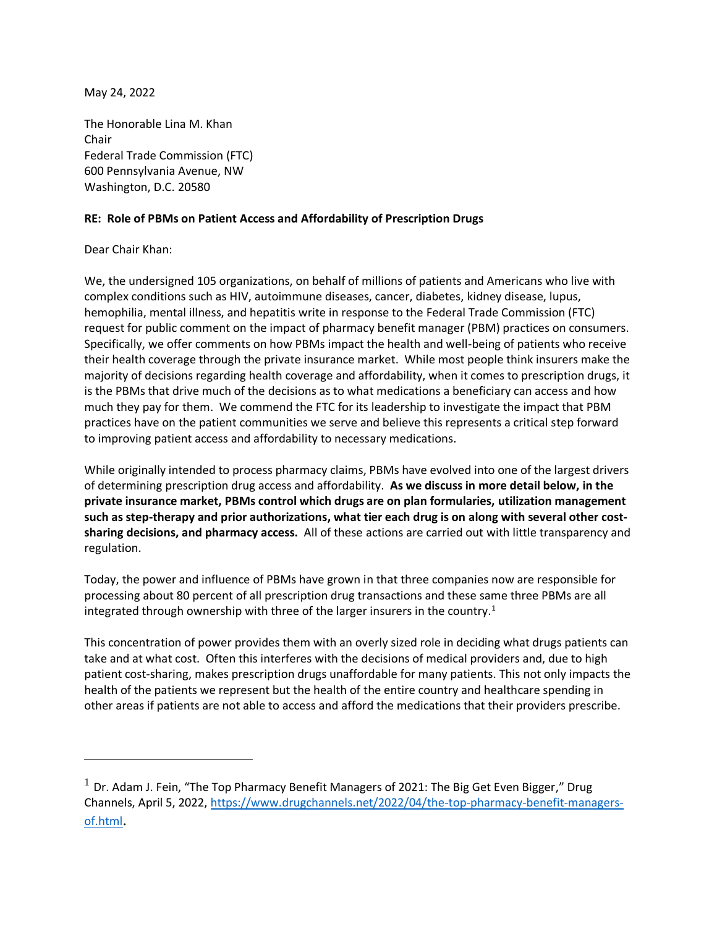May 24, 2022

The Honorable Lina M. Khan Chair Federal Trade Commission (FTC) 600 Pennsylvania Avenue, NW Washington, D.C. 20580

# **RE: Role of PBMs on Patient Access and Affordability of Prescription Drugs**

## Dear Chair Khan:

We, the undersigned 105 organizations, on behalf of millions of patients and Americans who live with complex conditions such as HIV, autoimmune diseases, cancer, diabetes, kidney disease, lupus, hemophilia, mental illness, and hepatitis write in response to the Federal Trade Commission (FTC) request for public comment on the impact of pharmacy benefit manager (PBM) practices on consumers. Specifically, we offer comments on how PBMs impact the health and well-being of patients who receive their health coverage through the private insurance market. While most people think insurers make the majority of decisions regarding health coverage and affordability, when it comes to prescription drugs, it is the PBMs that drive much of the decisions as to what medications a beneficiary can access and how much they pay for them. We commend the FTC for its leadership to investigate the impact that PBM practices have on the patient communities we serve and believe this represents a critical step forward to improving patient access and affordability to necessary medications.

While originally intended to process pharmacy claims, PBMs have evolved into one of the largest drivers of determining prescription drug access and affordability. **As we discuss in more detail below, in the private insurance market, PBMs control which drugs are on plan formularies, utilization management such as step-therapy and prior authorizations, what tier each drug is on along with several other costsharing decisions, and pharmacy access.** All of these actions are carried out with little transparency and regulation.

Today, the power and influence of PBMs have grown in that three companies now are responsible for processing about 80 percent of all prescription drug transactions and these same three PBMs are all integrated through ownership with three of the larger insurers in the country.<sup>1</sup>

This concentration of power provides them with an overly sized role in deciding what drugs patients can take and at what cost. Often this interferes with the decisions of medical providers and, due to high patient cost-sharing, makes prescription drugs unaffordable for many patients. This not only impacts the health of the patients we represent but the health of the entire country and healthcare spending in other areas if patients are not able to access and afford the medications that their providers prescribe.

 $1$  Dr. Adam J. Fein, "The Top Pharmacy Benefit Managers of 2021: The Big Get Even Bigger," Drug Channels, April 5, 2022, [https://www.drugchannels.net/2022/04/the-top-pharmacy-benefit-managers](https://www.drugchannels.net/2022/04/the-top-pharmacy-benefit-managers-of.html)[of.html](https://www.drugchannels.net/2022/04/the-top-pharmacy-benefit-managers-of.html).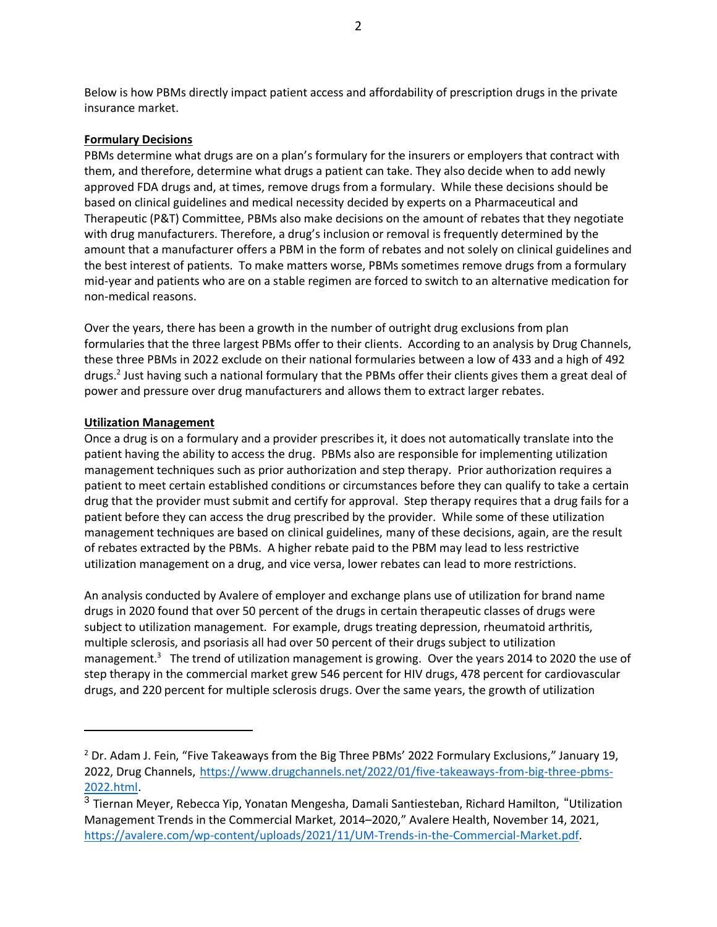Below is how PBMs directly impact patient access and affordability of prescription drugs in the private insurance market.

## **Formulary Decisions**

PBMs determine what drugs are on a plan's formulary for the insurers or employers that contract with them, and therefore, determine what drugs a patient can take. They also decide when to add newly approved FDA drugs and, at times, remove drugs from a formulary. While these decisions should be based on clinical guidelines and medical necessity decided by experts on a Pharmaceutical and Therapeutic (P&T) Committee, PBMs also make decisions on the amount of rebates that they negotiate with drug manufacturers. Therefore, a drug's inclusion or removal is frequently determined by the amount that a manufacturer offers a PBM in the form of rebates and not solely on clinical guidelines and the best interest of patients. To make matters worse, PBMs sometimes remove drugs from a formulary mid-year and patients who are on a stable regimen are forced to switch to an alternative medication for non-medical reasons.

Over the years, there has been a growth in the number of outright drug exclusions from plan formularies that the three largest PBMs offer to their clients. According to an analysis by Drug Channels, these three PBMs in 2022 exclude on their national formularies between a low of 433 and a high of 492 drugs.<sup>2</sup> Just having such a national formulary that the PBMs offer their clients gives them a great deal of power and pressure over drug manufacturers and allows them to extract larger rebates.

# **Utilization Management**

Once a drug is on a formulary and a provider prescribes it, it does not automatically translate into the patient having the ability to access the drug. PBMs also are responsible for implementing utilization management techniques such as prior authorization and step therapy. Prior authorization requires a patient to meet certain established conditions or circumstances before they can qualify to take a certain drug that the provider must submit and certify for approval. Step therapy requires that a drug fails for a patient before they can access the drug prescribed by the provider. While some of these utilization management techniques are based on clinical guidelines, many of these decisions, again, are the result of rebates extracted by the PBMs. A higher rebate paid to the PBM may lead to less restrictive utilization management on a drug, and vice versa, lower rebates can lead to more restrictions.

An analysis conducted by Avalere of employer and exchange plans use of utilization for brand name drugs in 2020 found that over 50 percent of the drugs in certain therapeutic classes of drugs were subject to utilization management. For example, drugs treating depression, rheumatoid arthritis, multiple sclerosis, and psoriasis all had over 50 percent of their drugs subject to utilization management.<sup>3</sup> The trend of utilization management is growing. Over the years 2014 to 2020 the use of step therapy in the commercial market grew 546 percent for HIV drugs, 478 percent for cardiovascular drugs, and 220 percent for multiple sclerosis drugs. Over the same years, the growth of utilization

 $2$  Dr. Adam J. Fein, "Five Takeaways from the Big Three PBMs' 2022 Formulary Exclusions," January 19, 2022, Drug Channels, [https://www.drugchannels.net/2022/01/five-takeaways-from-big-three-pbms-](https://www.drugchannels.net/2022/01/five-takeaways-from-big-three-pbms-2022.html)[2022.html.](https://www.drugchannels.net/2022/01/five-takeaways-from-big-three-pbms-2022.html)

<sup>&</sup>lt;sup>3</sup> Tiernan Meyer, Rebecca Yip, Yonatan Mengesha, Damali Santiesteban, Richard Hamilton, "Utilization Management Trends in the Commercial Market, 2014–2020," Avalere Health, November 14, 2021, [https://avalere.com/wp-content/uploads/2021/11/UM-Trends-in-the-Commercial-Market.pdf.](https://avalere.com/wp-content/uploads/2021/11/UM-Trends-in-the-Commercial-Market.pdf)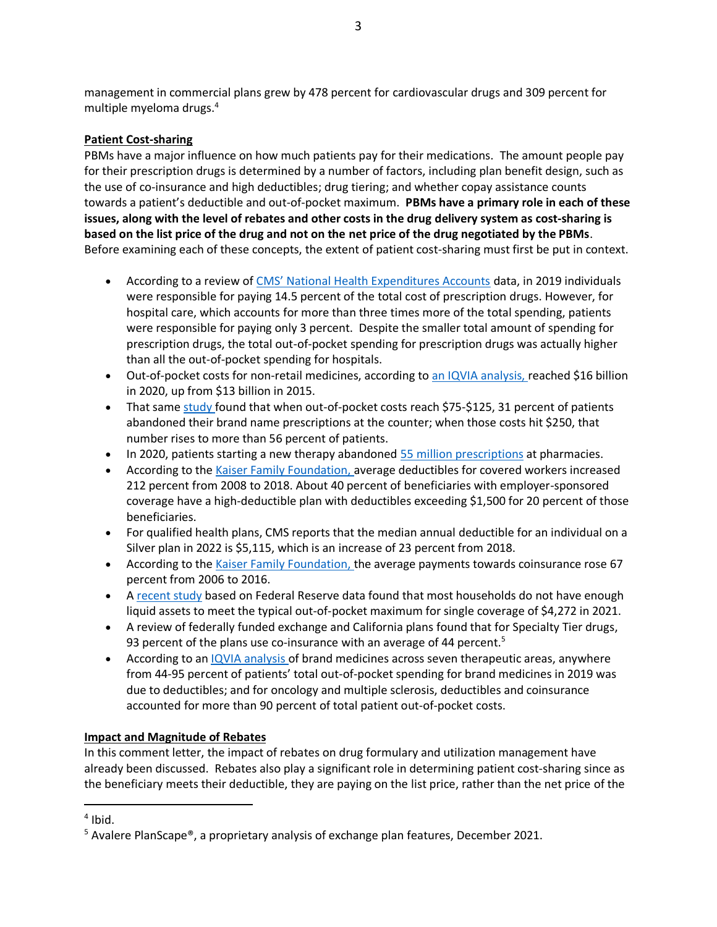management in commercial plans grew by 478 percent for cardiovascular drugs and 309 percent for multiple myeloma drugs.<sup>4</sup>

# **Patient Cost-sharing**

PBMs have a major influence on how much patients pay for their medications. The amount people pay for their prescription drugs is determined by a number of factors, including plan benefit design, such as the use of co-insurance and high deductibles; drug tiering; and whether copay assistance counts towards a patient's deductible and out-of-pocket maximum. **PBMs have a primary role in each of these issues, along with the level of rebates and other costs in the drug delivery system as cost-sharing is based on the list price of the drug and not on the net price of the drug negotiated by the PBMs**. Before examining each of these concepts, the extent of patient cost-sharing must first be put in context.

- According to a review of [CMS' National Health Expenditures Accounts](https://www.cms.gov/newsroom/press-releases/cms-office-actuary-releases-2019-national-health-expenditures) data, in 2019 individuals were responsible for paying 14.5 percent of the total cost of prescription drugs. However, for hospital care, which accounts for more than three times more of the total spending, patients were responsible for paying only 3 percent. Despite the smaller total amount of spending for prescription drugs, the total out-of-pocket spending for prescription drugs was actually higher than all the out-of-pocket spending for hospitals.
- Out-of-pocket costs for non-retail medicines, according to [an IQVIA analysis,](https://www.iqvia.com/insights/the-iqvia-institute/reports/the-use-of-medicines-in-the-us?utm_campaign=2021_USMedsreportpromo_Enterprise_TC&utm_medium=email&utm_source=Eloqua) reached \$16 billion in 2020, up from \$13 billion in 2015.
- That same [study](https://www.iqvia.com/insights/the-iqvia-institute/reports/the-use-of-medicines-in-the-us?utm_campaign=2021_USMedsreportpromo_Enterprise_TC&utm_medium=email&utm_source=Eloqua) found that when out-of-pocket costs reach \$75-\$125, 31 percent of patients abandoned their brand name prescriptions at the counter; when those costs hit \$250, that number rises to more than 56 percent of patients.
- In 2020, patients starting a new therapy abandoned [55 million prescriptions](https://www.iqvia.com/insights/the-iqvia-institute/reports/the-use-of-medicines-in-the-us) at pharmacies.
- According to the [Kaiser Family Foundation,](https://www.kff.org/health-costs/press-release/employer-sponsored-family-coverage-premiums-rise-5-percent-in-2018/) average deductibles for covered workers increased 212 percent from 2008 to 2018. About 40 percent of beneficiaries with employer-sponsored coverage have a high-deductible plan with deductibles exceeding \$1,500 for 20 percent of those beneficiaries.
- For qualified health plans, CMS reports that the median annual deductible for an individual on a Silver plan in 2022 is \$5,115, which is an increase of 23 percent from 2018.
- According to the [Kaiser Family Foundation,](https://www.healthsystemtracker.org/brief/increases-in-cost-sharing-payments-have-far-outpaced-wage-growth/) the average payments towards coinsurance rose 67 percent from 2006 to 2016.
- A [recent study](https://www.healthsystemtracker.org/brief/many-households-do-not-have-enough-money-to-pay-cost-sharing-in-typical-private-health-plans/) based on Federal Reserve data found that most households do not have enough liquid assets to meet the typical out-of-pocket maximum for single coverage of \$4,272 in 2021.
- A review of federally funded exchange and California plans found that for Specialty Tier drugs, 93 percent of the plans use co-insurance with an average of 44 percent.<sup>5</sup>
- According to an [IQVIA analysis](http://r20.rs6.net/tn.jsp?f=001E1OwNTbg-asLTnf_NPqclSXk1vUiE0pUbnmuQFKAvZazMBbL28Q6jPijBVQNxWgyrjaSIGgQr1dOsCWrSbO2opej_90_y7pGMWfQWii17cc1KSyJSVvHSq0bUVwN-AbJMx3PO0Nurp6jff1xRx0AnAEwhMpB7GhmYrP5NRUHcgqlY8kNuGTZ_7RPp-kogELYP26Oq_Nh7IE0AJxaBp3BLiPTayrw_YTgqU9t3xW5jQocsm5le6YeM0htgIZM0m1M8Fa5KLbYnR7vnj-O2VgvzA%3D%3D&c=ishox72wgFNX-zvVLDFIrxBkAh8Hc5Ua8Nio51BZi4fqxVsh7xxuag%3D%3D&ch=RYohjbrBK_ClL0BZwTONhuEmq_w9iNUb7VA8JXiTDHJ-nxqDItzNlQ%3D%3D) of brand medicines across seven therapeutic areas, anywhere from 44-95 percent of patients' total out-of-pocket spending for brand medicines in 2019 was due to deductibles; and for oncology and multiple sclerosis, deductibles and coinsurance accounted for more than 90 percent of total patient out-of-pocket costs.

# **Impact and Magnitude of Rebates**

In this comment letter, the impact of rebates on drug formulary and utilization management have already been discussed. Rebates also play a significant role in determining patient cost-sharing since as the beneficiary meets their deductible, they are paying on the list price, rather than the net price of the

 $<sup>4</sup>$  Ibid.</sup>

 $5$  Avalere PlanScape®, a proprietary analysis of exchange plan features, December 2021.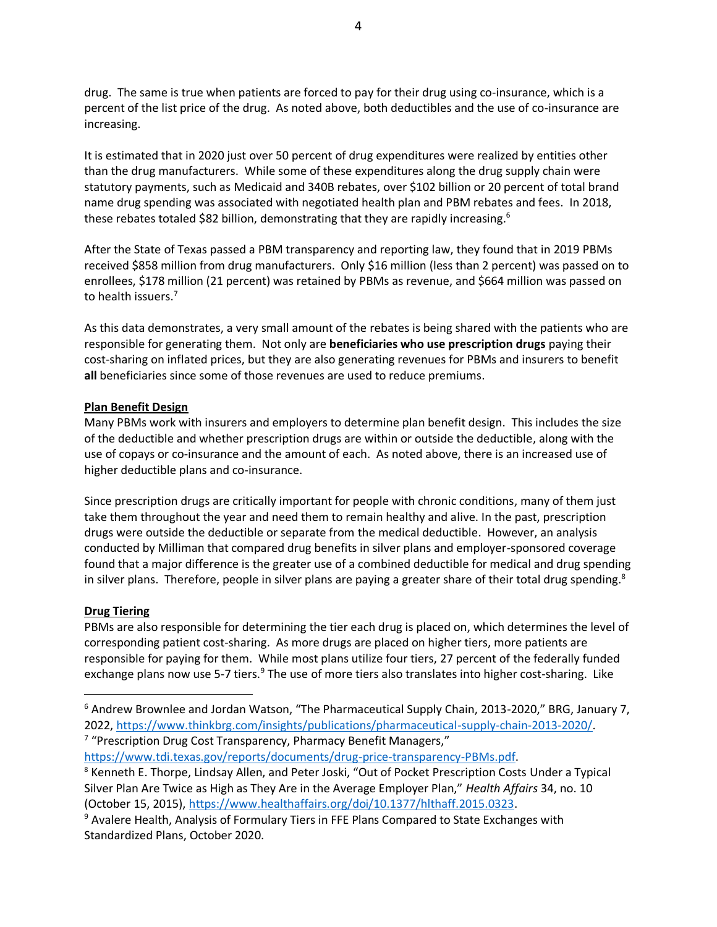drug. The same is true when patients are forced to pay for their drug using co-insurance, which is a percent of the list price of the drug. As noted above, both deductibles and the use of co-insurance are increasing.

It is estimated that in 2020 just over 50 percent of drug expenditures were realized by entities other than the drug manufacturers. While some of these expenditures along the drug supply chain were statutory payments, such as Medicaid and 340B rebates, over \$102 billion or 20 percent of total brand name drug spending was associated with negotiated health plan and PBM rebates and fees. In 2018, these rebates totaled \$82 billion, demonstrating that they are rapidly increasing.<sup>6</sup>

After the State of Texas passed a PBM transparency and reporting law, they found that in 2019 PBMs received \$858 million from drug manufacturers. Only \$16 million (less than 2 percent) was passed on to enrollees, \$178 million (21 percent) was retained by PBMs as revenue, and \$664 million was passed on to health issuers.<sup>7</sup>

As this data demonstrates, a very small amount of the rebates is being shared with the patients who are responsible for generating them. Not only are **beneficiaries who use prescription drugs** paying their cost-sharing on inflated prices, but they are also generating revenues for PBMs and insurers to benefit **all** beneficiaries since some of those revenues are used to reduce premiums.

# **Plan Benefit Design**

Many PBMs work with insurers and employers to determine plan benefit design. This includes the size of the deductible and whether prescription drugs are within or outside the deductible, along with the use of copays or co-insurance and the amount of each. As noted above, there is an increased use of higher deductible plans and co-insurance.

Since prescription drugs are critically important for people with chronic conditions, many of them just take them throughout the year and need them to remain healthy and alive. In the past, prescription drugs were outside the deductible or separate from the medical deductible. However, an analysis conducted by Milliman that compared drug benefits in silver plans and employer-sponsored coverage found that a major difference is the greater use of a combined deductible for medical and drug spending in silver plans. Therefore, people in silver plans are paying a greater share of their total drug spending.<sup>8</sup>

#### **Drug Tiering**

PBMs are also responsible for determining the tier each drug is placed on, which determines the level of corresponding patient cost-sharing. As more drugs are placed on higher tiers, more patients are responsible for paying for them. While most plans utilize four tiers, 27 percent of the federally funded exchange plans now use 5-7 tiers.<sup>9</sup> The use of more tiers also translates into higher cost-sharing. Like

<sup>7</sup> "Prescription Drug Cost Transparency, Pharmacy Benefit Managers,"

[https://www.tdi.texas.gov/reports/documents/drug-price-transparency-PBMs.pdf.](https://www.tdi.texas.gov/reports/documents/drug-price-transparency-PBMs.pdf) <sup>8</sup> Kenneth E. Thorpe, Lindsay Allen, and Peter Joski, "Out of Pocket Prescription Costs Under a Typical Silver Plan Are Twice as High as They Are in the Average Employer Plan," *Health Affairs* 34, no. 10

(October 15, 2015), [https://www.healthaffairs.org/doi/10.1377/hlthaff.2015.0323.](https://www.healthaffairs.org/doi/10.1377/hlthaff.2015.0323)

<sup>&</sup>lt;sup>6</sup> Andrew Brownlee and Jordan Watson, "The Pharmaceutical Supply Chain, 2013-2020," BRG, January 7, 2022, [https://www.thinkbrg.com/insights/publications/pharmaceutical-supply-chain-2013-2020/.](https://www.thinkbrg.com/insights/publications/pharmaceutical-supply-chain-2013-2020/)

<sup>&</sup>lt;sup>9</sup> Avalere Health, Analysis of Formulary Tiers in FFE Plans Compared to State Exchanges with Standardized Plans, October 2020.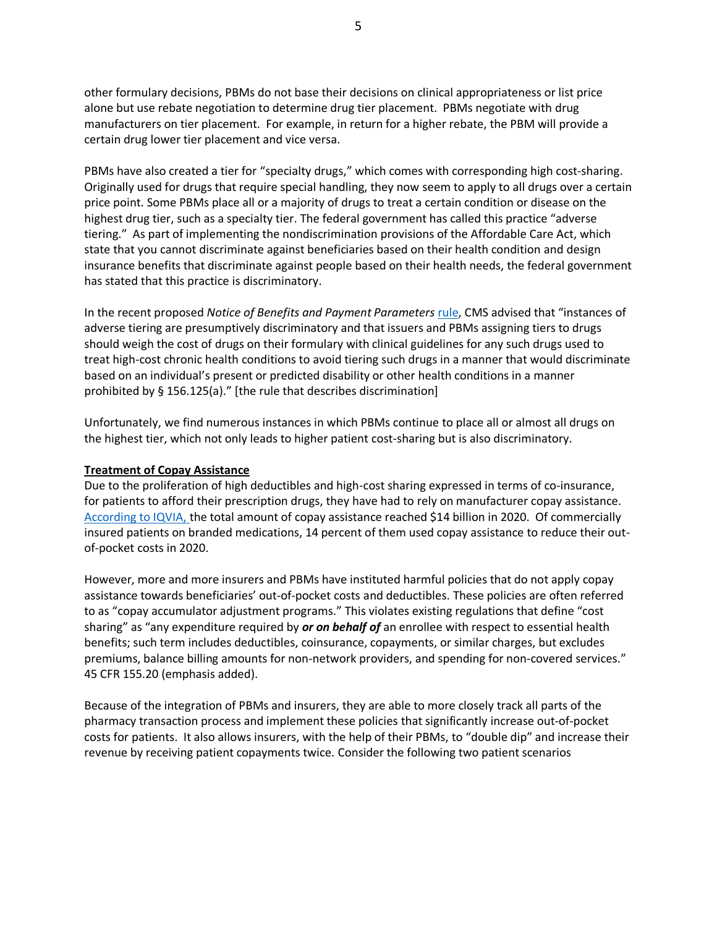other formulary decisions, PBMs do not base their decisions on clinical appropriateness or list price alone but use rebate negotiation to determine drug tier placement. PBMs negotiate with drug manufacturers on tier placement. For example, in return for a higher rebate, the PBM will provide a certain drug lower tier placement and vice versa.

PBMs have also created a tier for "specialty drugs," which comes with corresponding high cost-sharing. Originally used for drugs that require special handling, they now seem to apply to all drugs over a certain price point. Some PBMs place all or a majority of drugs to treat a certain condition or disease on the highest drug tier, such as a specialty tier. The federal government has called this practice "adverse tiering." As part of implementing the nondiscrimination provisions of the Affordable Care Act, which state that you cannot discriminate against beneficiaries based on their health condition and design insurance benefits that discriminate against people based on their health needs, the federal government has stated that this practice is discriminatory.

In the recent proposed *Notice of Benefits and Payment Parameters* [rule,](https://public-inspection.federalregister.gov/2021-28317.pdf) CMS advised that "instances of adverse tiering are presumptively discriminatory and that issuers and PBMs assigning tiers to drugs should weigh the cost of drugs on their formulary with clinical guidelines for any such drugs used to treat high-cost chronic health conditions to avoid tiering such drugs in a manner that would discriminate based on an individual's present or predicted disability or other health conditions in a manner prohibited by § 156.125(a)." [the rule that describes discrimination]

Unfortunately, we find numerous instances in which PBMs continue to place all or almost all drugs on the highest tier, which not only leads to higher patient cost-sharing but is also discriminatory.

## **Treatment of Copay Assistance**

Due to the proliferation of high deductibles and high-cost sharing expressed in terms of co-insurance, for patients to afford their prescription drugs, they have had to rely on manufacturer copay assistance. [According to IQVIA, t](https://www.iqvia.com/insights/the-iqvia-institute/reports/the-use-of-medicines-in-the-us?utm_campaign=2021_USMedsreportpromo_Enterprise_TC&utm_medium=email&utm_source=Eloqua)he total amount of copay assistance reached \$14 billion in 2020. Of commercially insured patients on branded medications, 14 percent of them used copay assistance to reduce their outof-pocket costs in 2020.

However, more and more insurers and PBMs have instituted harmful policies that do not apply copay assistance towards beneficiaries' out-of-pocket costs and deductibles. These policies are often referred to as "copay accumulator adjustment programs." This violates existing regulations that define "cost sharing" as "any expenditure required by *or on behalf of* an enrollee with respect to essential health benefits; such term includes deductibles, coinsurance, copayments, or similar charges, but excludes premiums, balance billing amounts for non-network providers, and spending for non-covered services." 45 CFR 155.20 (emphasis added).

Because of the integration of PBMs and insurers, they are able to more closely track all parts of the pharmacy transaction process and implement these policies that significantly increase out-of-pocket costs for patients. It also allows insurers, with the help of their PBMs, to "double dip" and increase their revenue by receiving patient copayments twice. Consider the following two patient scenarios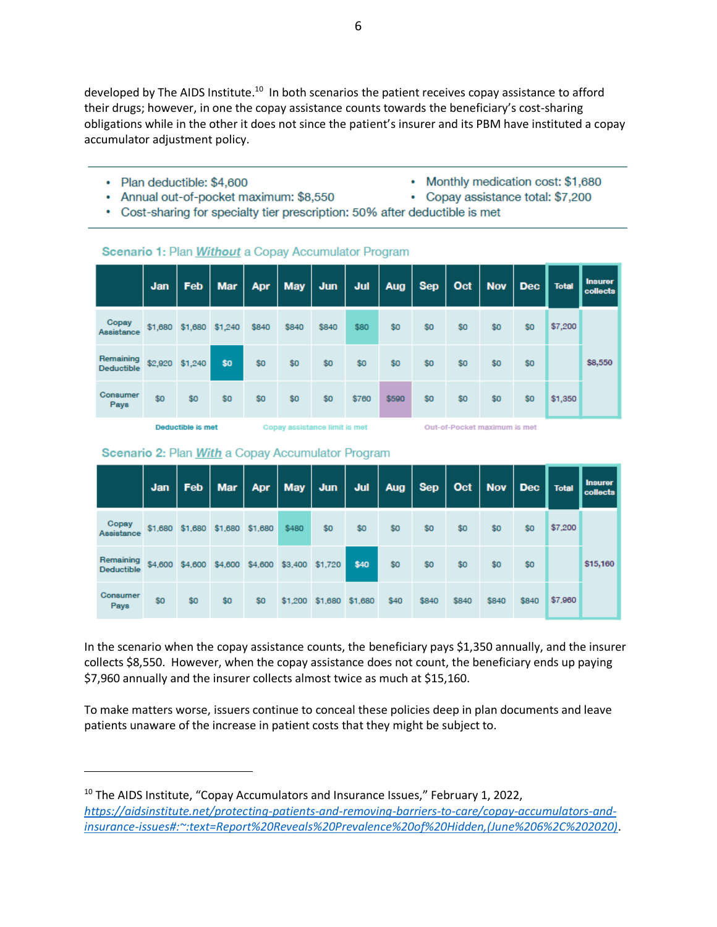developed by The AIDS Institute.<sup>10</sup> In both scenarios the patient receives copay assistance to afford their drugs; however, in one the copay assistance counts towards the beneficiary's cost-sharing obligations while in the other it does not since the patient's insurer and its PBM have instituted a copay accumulator adjustment policy.

• Plan deductible: \$4,600

**Deductible is met** 

- Monthly medication cost: \$1,680
- Annual out-of-pocket maximum: \$8,550

Scenario 1: Plan Without a Copay Accumulator Program

• Copay assistance total: \$7,200

Out-of-Pocket maximum is met

• Cost-sharing for specialty tier prescription: 50% after deductible is met

Copay assistance limit is met

|                                | Jan             | Feb | <b>Mar</b>              | Apr   | <b>May</b> | Jun   | Jul   | Aug   | <b>Sep</b> | Oct | <b>Nov</b> | <b>Dec</b> | <b>Total</b> | <b>Insurer</b><br>collects |
|--------------------------------|-----------------|-----|-------------------------|-------|------------|-------|-------|-------|------------|-----|------------|------------|--------------|----------------------------|
| Copay<br>Assistance            |                 |     | \$1,680 \$1,680 \$1,240 | \$840 | \$840      | \$840 | \$80  | \$0   | \$0        | \$0 | \$0        | \$0        | \$7,200      |                            |
| Remaining<br><b>Deductible</b> | \$2,920 \$1,240 |     | \$0                     | \$0   | \$0        | \$0   | \$0   | \$0   | \$0        | \$0 | \$0        | \$0        |              | \$8,550                    |
| Consumer<br>Pays               | \$0             | \$0 | \$0                     | \$0   | \$0        | \$0   | \$760 | \$590 | \$0        | \$0 | \$0        | \$0        | \$1,350      |                            |

# Scenario 2: Plan With a Copay Accumulator Program

|                                                           | Jan | Feb. | <b>Mar</b> | Apr                             |       | May   Jun               | Jul   Aug |      | Sep Oct   Nov   Dec |       |       |       | <b>Total</b> | <b>Insurer</b><br>collects |
|-----------------------------------------------------------|-----|------|------------|---------------------------------|-------|-------------------------|-----------|------|---------------------|-------|-------|-------|--------------|----------------------------|
| Copay<br>Assistance                                       |     |      |            | \$1,680 \$1,680 \$1,680 \$1,680 | \$480 | \$0                     | \$0       | \$0  | \$0                 | \$0   | \$0   | \$0   | \$7,200      |                            |
| Remaining \$4,600 \$4,600 \$4,600 \$4,600 \$3,400 \$1,720 |     |      |            |                                 |       |                         | \$40      | \$0  | \$0                 | \$0   | \$0   | \$0   |              | \$15,160                   |
| <b>Consumer</b><br>Pays                                   | \$0 | \$0  | \$0        | \$0                             |       | \$1,200 \$1,680 \$1,680 |           | \$40 | \$840               | \$840 | \$840 | \$840 | \$7,960      |                            |

In the scenario when the copay assistance counts, the beneficiary pays \$1,350 annually, and the insurer collects \$8,550. However, when the copay assistance does not count, the beneficiary ends up paying \$7,960 annually and the insurer collects almost twice as much at \$15,160.

To make matters worse, issuers continue to conceal these policies deep in plan documents and leave patients unaware of the increase in patient costs that they might be subject to.

<sup>&</sup>lt;sup>10</sup> The AIDS Institute, "Copay Accumulators and Insurance Issues," February 1, 2022, *[https://aidsinstitute.net/protecting-patients-and-removing-barriers-to-care/copay-accumulators-and](https://aidsinstitute.net/protecting-patients-and-removing-barriers-to-care/copay-accumulators-and-insurance-issues#:~:text=Report%20Reveals%20Prevalence%20of%20Hidden,(June%206%2C%202020))[insurance-issues#:~:text=Report%20Reveals%20Prevalence%20of%20Hidden,\(June%206%2C%202020\)](https://aidsinstitute.net/protecting-patients-and-removing-barriers-to-care/copay-accumulators-and-insurance-issues#:~:text=Report%20Reveals%20Prevalence%20of%20Hidden,(June%206%2C%202020))*.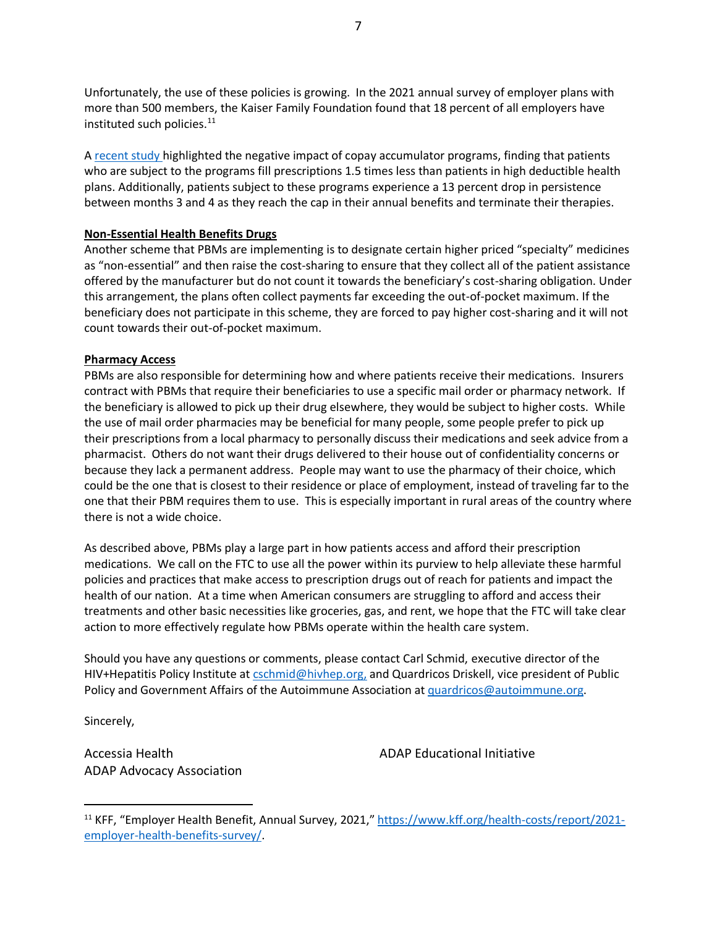Unfortunately, the use of these policies is growing. In the 2021 annual survey of employer plans with more than 500 members, the Kaiser Family Foundation found that 18 percent of all employers have instituted such policies.<sup>11</sup>

A [recent study h](https://www.ajmc.com/view/driving-persistence-among-patients-affected-by-copay-accumulators-with-patient-centric-support)ighlighted the negative impact of copay accumulator programs, finding that patients who are subject to the programs fill prescriptions 1.5 times less than patients in high deductible health plans. Additionally, patients subject to these programs experience a 13 percent drop in persistence between months 3 and 4 as they reach the cap in their annual benefits and terminate their therapies.

## **Non-Essential Health Benefits Drugs**

Another scheme that PBMs are implementing is to designate certain higher priced "specialty" medicines as "non-essential" and then raise the cost-sharing to ensure that they collect all of the patient assistance offered by the manufacturer but do not count it towards the beneficiary's cost-sharing obligation. Under this arrangement, the plans often collect payments far exceeding the out-of-pocket maximum. If the beneficiary does not participate in this scheme, they are forced to pay higher cost-sharing and it will not count towards their out-of-pocket maximum.

## **Pharmacy Access**

PBMs are also responsible for determining how and where patients receive their medications. Insurers contract with PBMs that require their beneficiaries to use a specific mail order or pharmacy network. If the beneficiary is allowed to pick up their drug elsewhere, they would be subject to higher costs. While the use of mail order pharmacies may be beneficial for many people, some people prefer to pick up their prescriptions from a local pharmacy to personally discuss their medications and seek advice from a pharmacist. Others do not want their drugs delivered to their house out of confidentiality concerns or because they lack a permanent address. People may want to use the pharmacy of their choice, which could be the one that is closest to their residence or place of employment, instead of traveling far to the one that their PBM requires them to use. This is especially important in rural areas of the country where there is not a wide choice.

As described above, PBMs play a large part in how patients access and afford their prescription medications. We call on the FTC to use all the power within its purview to help alleviate these harmful policies and practices that make access to prescription drugs out of reach for patients and impact the health of our nation. At a time when American consumers are struggling to afford and access their treatments and other basic necessities like groceries, gas, and rent, we hope that the FTC will take clear action to more effectively regulate how PBMs operate within the health care system.

Should you have any questions or comments, please contact Carl Schmid, executive director of the HIV+Hepatitis Policy Institute at [cschmid@hivhep.org,](mailto:cschmid@hivhep.org) and Quardricos Driskell, vice president of Public Policy and Government Affairs of the Autoimmune Association a[t quardricos@autoimmune.org.](mailto:quardricos@autoimmune.org)

Sincerely,

Accessia Health ADAP Advocacy Association ADAP Educational Initiative

<sup>&</sup>lt;sup>11</sup> KFF, "Employer Health Benefit, Annual Survey, 2021," [https://www.kff.org/health-costs/report/2021](https://www.kff.org/health-costs/report/2021-employer-health-benefits-survey/) [employer-health-benefits-survey/.](https://www.kff.org/health-costs/report/2021-employer-health-benefits-survey/)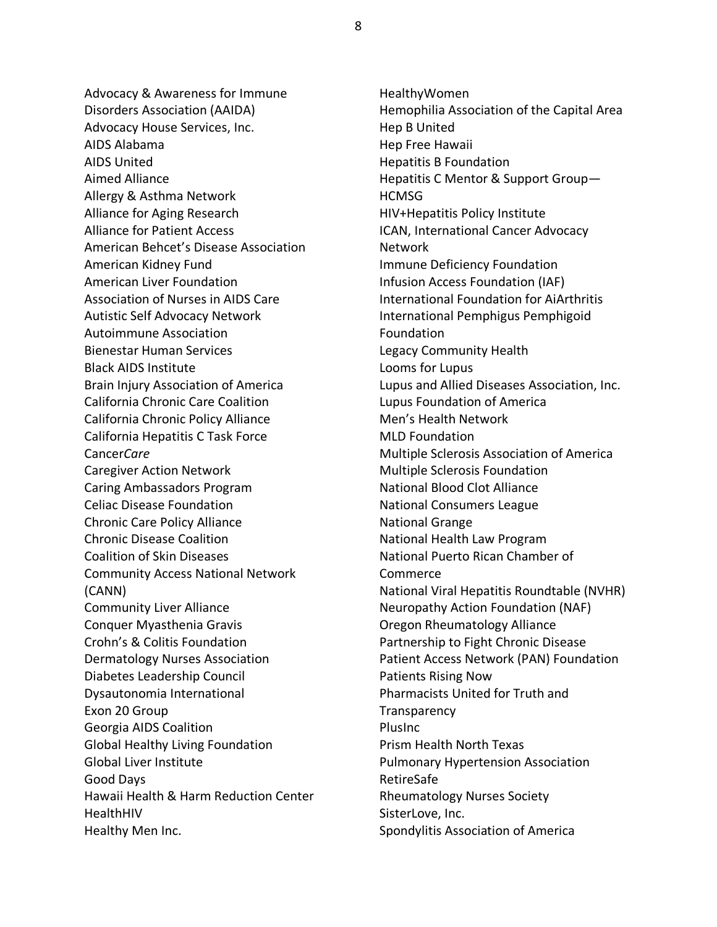Advocacy & Awareness for Immune Disorders Association (AAIDA) Advocacy House Services, Inc. AIDS Alabama AIDS United Aimed Alliance Allergy & Asthma Network Alliance for Aging Research Alliance for Patient Access American Behcet's Disease Association American Kidney Fund American Liver Foundation Association of Nurses in AIDS Care Autistic Self Advocacy Network Autoimmune Association Bienestar Human Services Black AIDS Institute Brain Injury Association of America California Chronic Care Coalition California Chronic Policy Alliance California Hepatitis C Task Force Cancer*Care* Caregiver Action Network Caring Ambassadors Program Celiac Disease Foundation Chronic Care Policy Alliance Chronic Disease Coalition Coalition of Skin Diseases Community Access National Network (CANN) Community Liver Alliance Conquer Myasthenia Gravis Crohn's & Colitis Foundation Dermatology Nurses Association Diabetes Leadership Council Dysautonomia International Exon 20 Group Georgia AIDS Coalition Global Healthy Living Foundation Global Liver Institute Good Days Hawaii Health & Harm Reduction Center HealthHIV

Healthy Men Inc.

HealthyWomen Hemophilia Association of the Capital Area Hep B United Hep Free Hawaii Hepatitis B Foundation Hepatitis C Mentor & Support Group— HCMSG HIV+Hepatitis Policy Institute ICAN, International Cancer Advocacy Network Immune Deficiency Foundation Infusion Access Foundation (IAF) International Foundation for AiArthritis International Pemphigus Pemphigoid Foundation Legacy Community Health Looms for Lupus Lupus and Allied Diseases Association, Inc. Lupus Foundation of America Men's Health Network MLD Foundation Multiple Sclerosis Association of America Multiple Sclerosis Foundation National Blood Clot Alliance National Consumers League National Grange National Health Law Program National Puerto Rican Chamber of Commerce National Viral Hepatitis Roundtable (NVHR) Neuropathy Action Foundation (NAF) Oregon Rheumatology Alliance Partnership to Fight Chronic Disease Patient Access Network (PAN) Foundation Patients Rising Now Pharmacists United for Truth and **Transparency** PlusInc Prism Health North Texas Pulmonary Hypertension Association RetireSafe Rheumatology Nurses Society SisterLove, Inc. Spondylitis Association of America